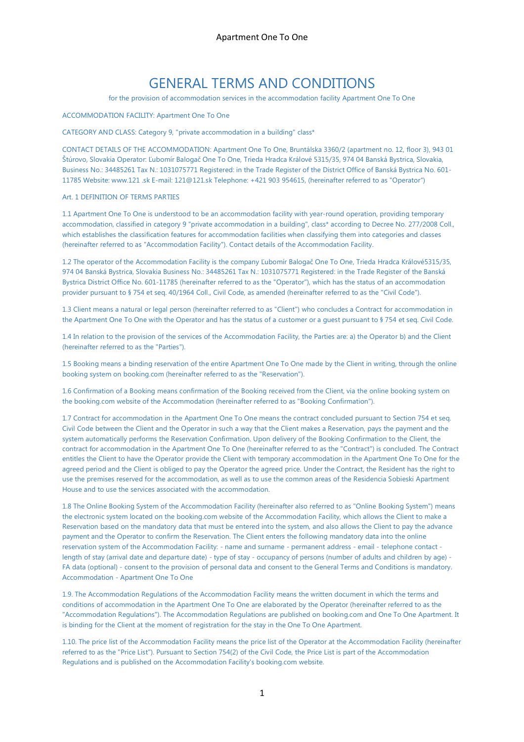# GENERAL TERMS AND CONDITIONS

for the provision of accommodation services in the accommodation facility Apartment One To One

#### ACCOMMODATION FACILITY: Apartment One To One

CATEGORY AND CLASS: Category 9, "private accommodation in a building" class\*

CONTACT DETAILS OF THE ACCOMMODATION: Apartment One To One, Bruntálska 3360/2 (apartment no. 12, floor 3), 943 01 Štúrovo, Slovakia Operator: Ľubomír Balogač One To One, Trieda Hradca Králové 5315/35, 974 04 Banská Bystrica, Slovakia, Business No.: 34485261 Tax N.: 1031075771 Registered: in the Trade Register of the District Office of Banská Bystrica No. 601- 11785 Website: www.121 .sk E-mail: 121@121.sk Telephone: +421 903 954615, (hereinafter referred to as "Operator")

## Art. 1 DEFINITION OF TERMS PARTIES

1.1 Apartment One To One is understood to be an accommodation facility with year-round operation, providing temporary accommodation, classified in category 9 "private accommodation in a building", class\* according to Decree No. 277/2008 Coll., which establishes the classification features for accommodation facilities when classifying them into categories and classes (hereinafter referred to as "Accommodation Facility"). Contact details of the Accommodation Facility.

1.2 The operator of the Accommodation Facility is the company Ľubomír Balogač One To One, Trieda Hradca Králové5315/35, 974 04 Banská Bystrica, Slovakia Business No.: 34485261 Tax N.: 1031075771 Registered: in the Trade Register of the Banská Bystrica District Office No. 601-11785 (hereinafter referred to as the "Operator"), which has the status of an accommodation provider pursuant to § 754 et seq. 40/1964 Coll., Civil Code, as amended (hereinafter referred to as the "Civil Code").

1.3 Client means a natural or legal person (hereinafter referred to as "Client") who concludes a Contract for accommodation in the Apartment One To One with the Operator and has the status of a customer or a guest pursuant to § 754 et seq. Civil Code.

1.4 In relation to the provision of the services of the Accommodation Facility, the Parties are: a) the Operator b) and the Client (hereinafter referred to as the "Parties").

1.5 Booking means a binding reservation of the entire Apartment One To One made by the Client in writing, through the online booking system on booking.com (hereinafter referred to as the "Reservation").

1.6 Confirmation of a Booking means confirmation of the Booking received from the Client, via the online booking system on the booking.com website of the Accommodation (hereinafter referred to as "Booking Confirmation").

1.7 Contract for accommodation in the Apartment One To One means the contract concluded pursuant to Section 754 et seq. Civil Code between the Client and the Operator in such a way that the Client makes a Reservation, pays the payment and the system automatically performs the Reservation Confirmation. Upon delivery of the Booking Confirmation to the Client, the contract for accommodation in the Apartment One To One (hereinafter referred to as the "Contract") is concluded. The Contract entitles the Client to have the Operator provide the Client with temporary accommodation in the Apartment One To One for the agreed period and the Client is obliged to pay the Operator the agreed price. Under the Contract, the Resident has the right to use the premises reserved for the accommodation, as well as to use the common areas of the Residencia Sobieski Apartment House and to use the services associated with the accommodation.

1.8 The Online Booking System of the Accommodation Facility (hereinafter also referred to as "Online Booking System") means the electronic system located on the booking.com website of the Accommodation Facility, which allows the Client to make a Reservation based on the mandatory data that must be entered into the system, and also allows the Client to pay the advance payment and the Operator to confirm the Reservation. The Client enters the following mandatory data into the online reservation system of the Accommodation Facility: - name and surname - permanent address - email - telephone contact length of stay (arrival date and departure date) - type of stay - occupancy of persons (number of adults and children by age) - FA data (optional) - consent to the provision of personal data and consent to the General Terms and Conditions is mandatory. Accommodation - Apartment One To One

1.9. The Accommodation Regulations of the Accommodation Facility means the written document in which the terms and conditions of accommodation in the Apartment One To One are elaborated by the Operator (hereinafter referred to as the "Accommodation Regulations"). The Accommodation Regulations are published on booking.com and One To One Apartment. It is binding for the Client at the moment of registration for the stay in the One To One Apartment.

1.10. The price list of the Accommodation Facility means the price list of the Operator at the Accommodation Facility (hereinafter referred to as the "Price List"). Pursuant to Section 754(2) of the Civil Code, the Price List is part of the Accommodation Regulations and is published on the Accommodation Facility's booking.com website.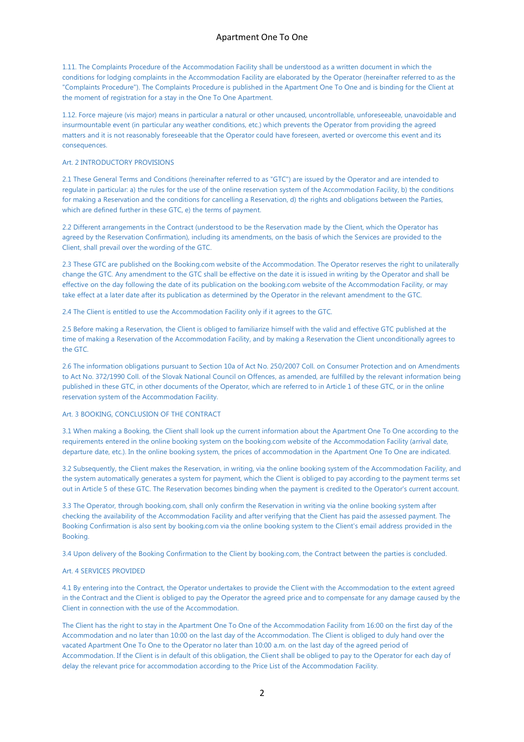1.11. The Complaints Procedure of the Accommodation Facility shall be understood as a written document in which the conditions for lodging complaints in the Accommodation Facility are elaborated by the Operator (hereinafter referred to as the "Complaints Procedure"). The Complaints Procedure is published in the Apartment One To One and is binding for the Client at the moment of registration for a stay in the One To One Apartment.

1.12. Force majeure (vis major) means in particular a natural or other uncaused, uncontrollable, unforeseeable, unavoidable and insurmountable event (in particular any weather conditions, etc.) which prevents the Operator from providing the agreed matters and it is not reasonably foreseeable that the Operator could have foreseen, averted or overcome this event and its consequences.

## Art. 2 INTRODUCTORY PROVISIONS

2.1 These General Terms and Conditions (hereinafter referred to as "GTC") are issued by the Operator and are intended to regulate in particular: a) the rules for the use of the online reservation system of the Accommodation Facility, b) the conditions for making a Reservation and the conditions for cancelling a Reservation, d) the rights and obligations between the Parties, which are defined further in these GTC, e) the terms of payment.

2.2 Different arrangements in the Contract (understood to be the Reservation made by the Client, which the Operator has agreed by the Reservation Confirmation), including its amendments, on the basis of which the Services are provided to the Client, shall prevail over the wording of the GTC.

2.3 These GTC are published on the Booking.com website of the Accommodation. The Operator reserves the right to unilaterally change the GTC. Any amendment to the GTC shall be effective on the date it is issued in writing by the Operator and shall be effective on the day following the date of its publication on the booking.com website of the Accommodation Facility, or may take effect at a later date after its publication as determined by the Operator in the relevant amendment to the GTC.

2.4 The Client is entitled to use the Accommodation Facility only if it agrees to the GTC.

2.5 Before making a Reservation, the Client is obliged to familiarize himself with the valid and effective GTC published at the time of making a Reservation of the Accommodation Facility, and by making a Reservation the Client unconditionally agrees to the GTC.

2.6 The information obligations pursuant to Section 10a of Act No. 250/2007 Coll. on Consumer Protection and on Amendments to Act No. 372/1990 Coll. of the Slovak National Council on Offences, as amended, are fulfilled by the relevant information being published in these GTC, in other documents of the Operator, which are referred to in Article 1 of these GTC, or in the online reservation system of the Accommodation Facility.

### Art. 3 BOOKING, CONCLUSION OF THE CONTRACT

3.1 When making a Booking, the Client shall look up the current information about the Apartment One To One according to the requirements entered in the online booking system on the booking.com website of the Accommodation Facility (arrival date, departure date, etc.). In the online booking system, the prices of accommodation in the Apartment One To One are indicated.

3.2 Subsequently, the Client makes the Reservation, in writing, via the online booking system of the Accommodation Facility, and the system automatically generates a system for payment, which the Client is obliged to pay according to the payment terms set out in Article 5 of these GTC. The Reservation becomes binding when the payment is credited to the Operator's current account.

3.3 The Operator, through booking.com, shall only confirm the Reservation in writing via the online booking system after checking the availability of the Accommodation Facility and after verifying that the Client has paid the assessed payment. The Booking Confirmation is also sent by booking.com via the online booking system to the Client's email address provided in the Booking.

3.4 Upon delivery of the Booking Confirmation to the Client by booking.com, the Contract between the parties is concluded.

#### Art. 4 SERVICES PROVIDED

4.1 By entering into the Contract, the Operator undertakes to provide the Client with the Accommodation to the extent agreed in the Contract and the Client is obliged to pay the Operator the agreed price and to compensate for any damage caused by the Client in connection with the use of the Accommodation.

The Client has the right to stay in the Apartment One To One of the Accommodation Facility from 16:00 on the first day of the Accommodation and no later than 10:00 on the last day of the Accommodation. The Client is obliged to duly hand over the vacated Apartment One To One to the Operator no later than 10:00 a.m. on the last day of the agreed period of Accommodation. If the Client is in default of this obligation, the Client shall be obliged to pay to the Operator for each day of delay the relevant price for accommodation according to the Price List of the Accommodation Facility.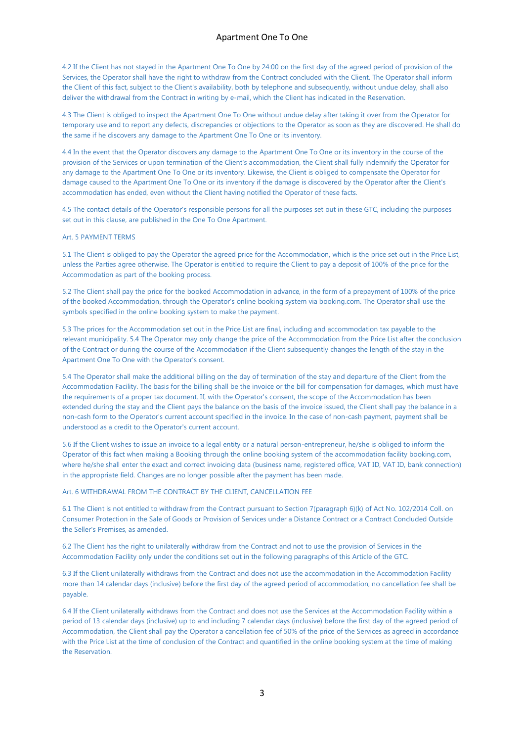4.2 If the Client has not stayed in the Apartment One To One by 24:00 on the first day of the agreed period of provision of the Services, the Operator shall have the right to withdraw from the Contract concluded with the Client. The Operator shall inform the Client of this fact, subject to the Client's availability, both by telephone and subsequently, without undue delay, shall also deliver the withdrawal from the Contract in writing by e-mail, which the Client has indicated in the Reservation.

4.3 The Client is obliged to inspect the Apartment One To One without undue delay after taking it over from the Operator for temporary use and to report any defects, discrepancies or objections to the Operator as soon as they are discovered. He shall do the same if he discovers any damage to the Apartment One To One or its inventory.

4.4 In the event that the Operator discovers any damage to the Apartment One To One or its inventory in the course of the provision of the Services or upon termination of the Client's accommodation, the Client shall fully indemnify the Operator for any damage to the Apartment One To One or its inventory. Likewise, the Client is obliged to compensate the Operator for damage caused to the Apartment One To One or its inventory if the damage is discovered by the Operator after the Client's accommodation has ended, even without the Client having notified the Operator of these facts.

4.5 The contact details of the Operator's responsible persons for all the purposes set out in these GTC, including the purposes set out in this clause, are published in the One To One Apartment.

#### Art. 5 PAYMENT TERMS

5.1 The Client is obliged to pay the Operator the agreed price for the Accommodation, which is the price set out in the Price List, unless the Parties agree otherwise. The Operator is entitled to require the Client to pay a deposit of 100% of the price for the Accommodation as part of the booking process.

5.2 The Client shall pay the price for the booked Accommodation in advance, in the form of a prepayment of 100% of the price of the booked Accommodation, through the Operator's online booking system via booking.com. The Operator shall use the symbols specified in the online booking system to make the payment.

5.3 The prices for the Accommodation set out in the Price List are final, including and accommodation tax payable to the relevant municipality. 5.4 The Operator may only change the price of the Accommodation from the Price List after the conclusion of the Contract or during the course of the Accommodation if the Client subsequently changes the length of the stay in the Apartment One To One with the Operator's consent.

5.4 The Operator shall make the additional billing on the day of termination of the stay and departure of the Client from the Accommodation Facility. The basis for the billing shall be the invoice or the bill for compensation for damages, which must have the requirements of a proper tax document. If, with the Operator's consent, the scope of the Accommodation has been extended during the stay and the Client pays the balance on the basis of the invoice issued, the Client shall pay the balance in a non-cash form to the Operator's current account specified in the invoice. In the case of non-cash payment, payment shall be understood as a credit to the Operator's current account.

5.6 If the Client wishes to issue an invoice to a legal entity or a natural person-entrepreneur, he/she is obliged to inform the Operator of this fact when making a Booking through the online booking system of the accommodation facility booking.com, where he/she shall enter the exact and correct invoicing data (business name, registered office, VAT ID, VAT ID, bank connection) in the appropriate field. Changes are no longer possible after the payment has been made.

#### Art. 6 WITHDRAWAL FROM THE CONTRACT BY THE CLIENT, CANCELLATION FEE

6.1 The Client is not entitled to withdraw from the Contract pursuant to Section 7(paragraph 6)(k) of Act No. 102/2014 Coll. on Consumer Protection in the Sale of Goods or Provision of Services under a Distance Contract or a Contract Concluded Outside the Seller's Premises, as amended.

6.2 The Client has the right to unilaterally withdraw from the Contract and not to use the provision of Services in the Accommodation Facility only under the conditions set out in the following paragraphs of this Article of the GTC.

6.3 If the Client unilaterally withdraws from the Contract and does not use the accommodation in the Accommodation Facility more than 14 calendar days (inclusive) before the first day of the agreed period of accommodation, no cancellation fee shall be payable.

6.4 If the Client unilaterally withdraws from the Contract and does not use the Services at the Accommodation Facility within a period of 13 calendar days (inclusive) up to and including 7 calendar days (inclusive) before the first day of the agreed period of Accommodation, the Client shall pay the Operator a cancellation fee of 50% of the price of the Services as agreed in accordance with the Price List at the time of conclusion of the Contract and quantified in the online booking system at the time of making the Reservation.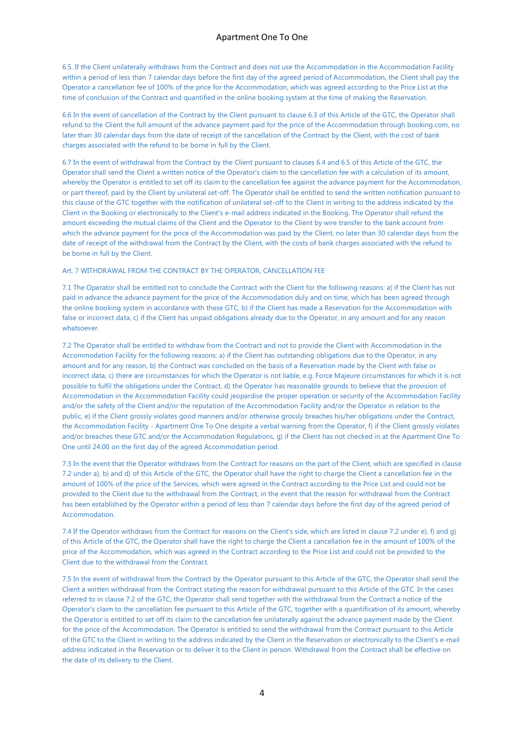6.5. If the Client unilaterally withdraws from the Contract and does not use the Accommodation in the Accommodation Facility within a period of less than 7 calendar days before the first day of the agreed period of Accommodation, the Client shall pay the Operator a cancellation fee of 100% of the price for the Accommodation, which was agreed according to the Price List at the time of conclusion of the Contract and quantified in the online booking system at the time of making the Reservation.

6.6 In the event of cancellation of the Contract by the Client pursuant to clause 6.3 of this Article of the GTC, the Operator shall refund to the Client the full amount of the advance payment paid for the price of the Accommodation through booking.com, no later than 30 calendar days from the date of receipt of the cancellation of the Contract by the Client, with the cost of bank charges associated with the refund to be borne in full by the Client.

6.7 In the event of withdrawal from the Contract by the Client pursuant to clauses 6.4 and 6.5 of this Article of the GTC, the Operator shall send the Client a written notice of the Operator's claim to the cancellation fee with a calculation of its amount, whereby the Operator is entitled to set off its claim to the cancellation fee against the advance payment for the Accommodation, or part thereof, paid by the Client by unilateral set-off. The Operator shall be entitled to send the written notification pursuant to this clause of the GTC together with the notification of unilateral set-off to the Client in writing to the address indicated by the Client in the Booking or electronically to the Client's e-mail address indicated in the Booking. The Operator shall refund the amount exceeding the mutual claims of the Client and the Operator to the Client by wire transfer to the bank account from which the advance payment for the price of the Accommodation was paid by the Client, no later than 30 calendar days from the date of receipt of the withdrawal from the Contract by the Client, with the costs of bank charges associated with the refund to be borne in full by the Client.

#### Art. 7 WITHDRAWAL FROM THE CONTRACT BY THE OPERATOR, CANCELLATION FEE

7.1 The Operator shall be entitled not to conclude the Contract with the Client for the following reasons: a) if the Client has not paid in advance the advance payment for the price of the Accommodation duly and on time, which has been agreed through the online booking system in accordance with these GTC, b) if the Client has made a Reservation for the Accommodation with false or incorrect data, c) if the Client has unpaid obligations already due to the Operator, in any amount and for any reason whatsoever.

7.2 The Operator shall be entitled to withdraw from the Contract and not to provide the Client with Accommodation in the Accommodation Facility for the following reasons: a) if the Client has outstanding obligations due to the Operator, in any amount and for any reason, b) the Contract was concluded on the basis of a Reservation made by the Client with false or incorrect data, c) there are circumstances for which the Operator is not liable, e.g. Force Majeure circumstances for which it is not possible to fulfil the obligations under the Contract, d) the Operator has reasonable grounds to believe that the provision of Accommodation in the Accommodation Facility could jeopardise the proper operation or security of the Accommodation Facility and/or the safety of the Client and/or the reputation of the Accommodation Facility and/or the Operator in relation to the public, e) if the Client grossly violates good manners and/or otherwise grossly breaches his/her obligations under the Contract, the Accommodation Facility - Apartment One To One despite a verbal warning from the Operator, f) if the Client grossly violates and/or breaches these GTC and/or the Accommodation Regulations, g) if the Client has not checked in at the Apartment One To One until 24:00 on the first day of the agreed Accommodation period.

7.3 In the event that the Operator withdraws from the Contract for reasons on the part of the Client, which are specified in clause 7.2 under a), b) and d) of this Article of the GTC, the Operator shall have the right to charge the Client a cancellation fee in the amount of 100% of the price of the Services, which were agreed in the Contract according to the Price List and could not be provided to the Client due to the withdrawal from the Contract, in the event that the reason for withdrawal from the Contract has been established by the Operator within a period of less than 7 calendar days before the first day of the agreed period of Accommodation.

7.4 If the Operator withdraws from the Contract for reasons on the Client's side, which are listed in clause 7.2 under e), f) and g) of this Article of the GTC, the Operator shall have the right to charge the Client a cancellation fee in the amount of 100% of the price of the Accommodation, which was agreed in the Contract according to the Price List and could not be provided to the Client due to the withdrawal from the Contract.

7.5 In the event of withdrawal from the Contract by the Operator pursuant to this Article of the GTC, the Operator shall send the Client a written withdrawal from the Contract stating the reason for withdrawal pursuant to this Article of the GTC. In the cases referred to in clause 7.2 of the GTC, the Operator shall send together with the withdrawal from the Contract a notice of the Operator's claim to the cancellation fee pursuant to this Article of the GTC, together with a quantification of its amount, whereby the Operator is entitled to set off its claim to the cancellation fee unilaterally against the advance payment made by the Client for the price of the Accommodation. The Operator is entitled to send the withdrawal from the Contract pursuant to this Article of the GTC to the Client in writing to the address indicated by the Client in the Reservation or electronically to the Client's e-mail address indicated in the Reservation or to deliver it to the Client in person. Withdrawal from the Contract shall be effective on the date of its delivery to the Client.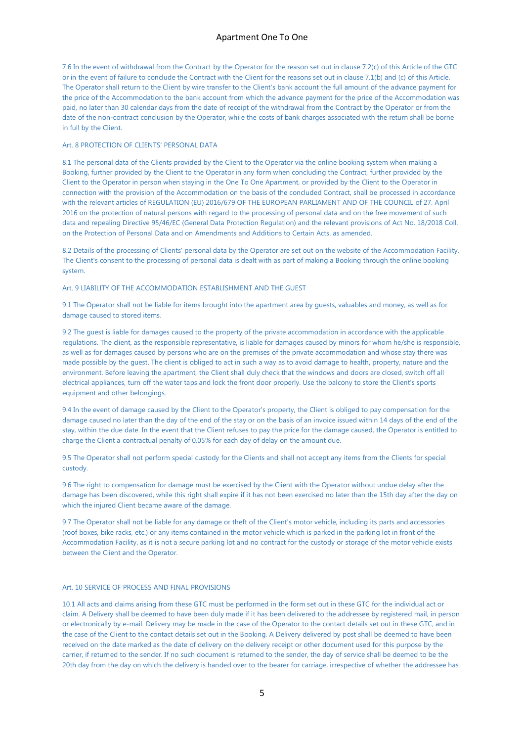7.6 In the event of withdrawal from the Contract by the Operator for the reason set out in clause 7.2(c) of this Article of the GTC or in the event of failure to conclude the Contract with the Client for the reasons set out in clause 7.1(b) and (c) of this Article. The Operator shall return to the Client by wire transfer to the Client's bank account the full amount of the advance payment for the price of the Accommodation to the bank account from which the advance payment for the price of the Accommodation was paid, no later than 30 calendar days from the date of receipt of the withdrawal from the Contract by the Operator or from the date of the non-contract conclusion by the Operator, while the costs of bank charges associated with the return shall be borne in full by the Client.

#### Art. 8 PROTECTION OF CLIENTS' PERSONAL DATA

8.1 The personal data of the Clients provided by the Client to the Operator via the online booking system when making a Booking, further provided by the Client to the Operator in any form when concluding the Contract, further provided by the Client to the Operator in person when staying in the One To One Apartment, or provided by the Client to the Operator in connection with the provision of the Accommodation on the basis of the concluded Contract, shall be processed in accordance with the relevant articles of REGULATION (EU) 2016/679 OF THE EUROPEAN PARLIAMENT AND OF THE COUNCIL of 27. April 2016 on the protection of natural persons with regard to the processing of personal data and on the free movement of such data and repealing Directive 95/46/EC (General Data Protection Regulation) and the relevant provisions of Act No. 18/2018 Coll. on the Protection of Personal Data and on Amendments and Additions to Certain Acts, as amended.

8.2 Details of the processing of Clients' personal data by the Operator are set out on the website of the Accommodation Facility. The Client's consent to the processing of personal data is dealt with as part of making a Booking through the online booking system.

## Art. 9 LIABILITY OF THE ACCOMMODATION ESTABLISHMENT AND THE GUEST

9.1 The Operator shall not be liable for items brought into the apartment area by guests, valuables and money, as well as for damage caused to stored items.

9.2 The guest is liable for damages caused to the property of the private accommodation in accordance with the applicable regulations. The client, as the responsible representative, is liable for damages caused by minors for whom he/she is responsible, as well as for damages caused by persons who are on the premises of the private accommodation and whose stay there was made possible by the guest. The client is obliged to act in such a way as to avoid damage to health, property, nature and the environment. Before leaving the apartment, the Client shall duly check that the windows and doors are closed, switch off all electrical appliances, turn off the water taps and lock the front door properly. Use the balcony to store the Client's sports equipment and other belongings.

9.4 In the event of damage caused by the Client to the Operator's property, the Client is obliged to pay compensation for the damage caused no later than the day of the end of the stay or on the basis of an invoice issued within 14 days of the end of the stay, within the due date. In the event that the Client refuses to pay the price for the damage caused, the Operator is entitled to charge the Client a contractual penalty of 0.05% for each day of delay on the amount due.

9.5 The Operator shall not perform special custody for the Clients and shall not accept any items from the Clients for special custody.

9.6 The right to compensation for damage must be exercised by the Client with the Operator without undue delay after the damage has been discovered, while this right shall expire if it has not been exercised no later than the 15th day after the day on which the injured Client became aware of the damage.

9.7 The Operator shall not be liable for any damage or theft of the Client's motor vehicle, including its parts and accessories (roof boxes, bike racks, etc.) or any items contained in the motor vehicle which is parked in the parking lot in front of the Accommodation Facility, as it is not a secure parking lot and no contract for the custody or storage of the motor vehicle exists between the Client and the Operator.

### Art. 10 SERVICE OF PROCESS AND FINAL PROVISIONS

10.1 All acts and claims arising from these GTC must be performed in the form set out in these GTC for the individual act or claim. A Delivery shall be deemed to have been duly made if it has been delivered to the addressee by registered mail, in person or electronically by e-mail. Delivery may be made in the case of the Operator to the contact details set out in these GTC, and in the case of the Client to the contact details set out in the Booking. A Delivery delivered by post shall be deemed to have been received on the date marked as the date of delivery on the delivery receipt or other document used for this purpose by the carrier, if returned to the sender. If no such document is returned to the sender, the day of service shall be deemed to be the 20th day from the day on which the delivery is handed over to the bearer for carriage, irrespective of whether the addressee has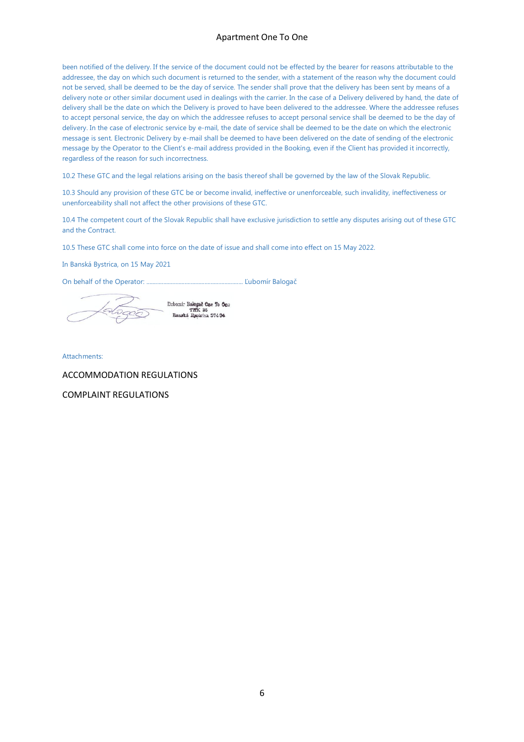been notified of the delivery. If the service of the document could not be effected by the bearer for reasons attributable to the addressee, the day on which such document is returned to the sender, with a statement of the reason why the document could not be served, shall be deemed to be the day of service. The sender shall prove that the delivery has been sent by means of a delivery note or other similar document used in dealings with the carrier. In the case of a Delivery delivered by hand, the date of delivery shall be the date on which the Delivery is proved to have been delivered to the addressee. Where the addressee refuses to accept personal service, the day on which the addressee refuses to accept personal service shall be deemed to be the day of delivery. In the case of electronic service by e-mail, the date of service shall be deemed to be the date on which the electronic message is sent. Electronic Delivery by e-mail shall be deemed to have been delivered on the date of sending of the electronic message by the Operator to the Client's e-mail address provided in the Booking, even if the Client has provided it incorrectly, regardless of the reason for such incorrectness.

10.2 These GTC and the legal relations arising on the basis thereof shall be governed by the law of the Slovak Republic.

10.3 Should any provision of these GTC be or become invalid, ineffective or unenforceable, such invalidity, ineffectiveness or unenforceability shall not affect the other provisions of these GTC.

10.4 The competent court of the Slovak Republic shall have exclusive jurisdiction to settle any disputes arising out of these GTC and the Contract.

10.5 These GTC shall come into force on the date of issue and shall come into effect on 15 May 2022.

In Banská Bystrica, on 15 May 2021

On behalf of the Operator: ............................................................... Ľubomír Balogač

Eubonír Balogač Cze To Oge Banská Espiritu 37404

Attachments:

ACCOMMODATION REGULATIONS

COMPLAINT REGULATIONS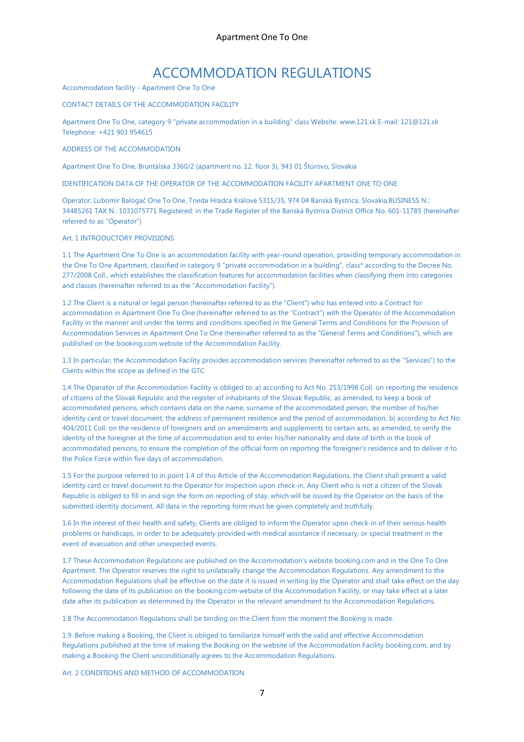# ACCOMMODATION REGULATIONS

Accommodation facility - Apartment One To One

## CONTACT DETAILS OF THE ACCOMMODATION FACILITY

Apartment One To One, category 9 "private accommodation in a building" class Website: www.121.sk E-mail: 121@121.sk Telephone: +421 903 954615

#### ADDRESS OF THE ACCOMMODATION

Apartment One To One, Bruntálska 3360/2 (apartment no. 12, floor 3), 943 01 Štúrovo, Slovakia

IDENTIFICATION DATA OF THE OPERATOR OF THE ACCOMMODATION FACILITY APARTMENT ONE TO ONE

Operator: Ľubomír Balogač One To One, Trieda Hradca Králové 5315/35, 974 04 Banská Bystrica, Slovakia,BUSINESS N.: 34485261 TAX N.: 1031075771 Registered: in the Trade Register of the Banská Bystrica District Office No. 601-11785 (hereinafter referred to as "Operator")

#### Art. 1 INTRODUCTORY PROVISIONS

1.1 The Apartment One To One is an accommodation facility with year-round operation, providing temporary accommodation in the One To One Apartment, classified in category 9 "private accommodation in a building", class\* according to the Decree No. 277/2008 Coll., which establishes the classification features for accommodation facilities when classifying them into categories and classes (hereinafter referred to as the "Accommodation Facility").

1.2 The Client is a natural or legal person (hereinafter referred to as the "Client") who has entered into a Contract for accommodation in Apartment One To One (hereinafter referred to as the "Contract") with the Operator of the Accommodation Facility in the manner and under the terms and conditions specified in the General Terms and Conditions for the Provision of Accommodation Services in Apartment One To One (hereinafter referred to as the "General Terms and Conditions"), which are published on the booking.com website of the Accommodation Facility.

1.3 In particular, the Accommodation Facility provides accommodation services (hereinafter referred to as the "Services") to the Clients within the scope as defined in the GTC.

1.4 The Operator of the Accommodation Facility is obliged to: a) according to Act No. 253/1998 Coll. on reporting the residence of citizens of the Slovak Republic and the register of inhabitants of the Slovak Republic, as amended, to keep a book of accommodated persons, which contains data on the name, surname of the accommodated person, the number of his/her identity card or travel document, the address of permanent residence and the period of accommodation, b) according to Act No. 404/2011 Coll. on the residence of foreigners and on amendments and supplements to certain acts, as amended, to verify the identity of the foreigner at the time of accommodation and to enter his/her nationality and date of birth in the book of accommodated persons, to ensure the completion of the official form on reporting the foreigner's residence and to deliver it to the Police Force within five days of accommodation.

1.5 For the purpose referred to in point 1.4 of this Article of the Accommodation Regulations, the Client shall present a valid identity card or travel document to the Operator for inspection upon check-in. Any Client who is not a citizen of the Slovak Republic is obliged to fill in and sign the form on reporting of stay, which will be issued by the Operator on the basis of the submitted identity document. All data in the reporting form must be given completely and truthfully.

1.6 In the interest of their health and safety, Clients are obliged to inform the Operator upon check-in of their serious health problems or handicaps, in order to be adequately provided with medical assistance if necessary, or special treatment in the event of evacuation and other unexpected events.

1.7 These Accommodation Regulations are published on the Accommodation's website booking.com and in the One To One Apartment. The Operator reserves the right to unilaterally change the Accommodation Regulations. Any amendment to the Accommodation Regulations shall be effective on the date it is issued in writing by the Operator and shall take effect on the day following the date of its publication on the booking.com website of the Accommodation Facility, or may take effect at a later date after its publication as determined by the Operator in the relevant amendment to the Accommodation Regulations.

1.8 The Accommodation Regulations shall be binding on the Client from the moment the Booking is made.

1.9. Before making a Booking, the Client is obliged to familiarize himself with the valid and effective Accommodation Regulations published at the time of making the Booking on the website of the Accommodation Facility booking.com, and by making a Booking the Client unconditionally agrees to the Accommodation Regulations.

Art. 2 CONDITIONS AND METHOD OF ACCOMMODATION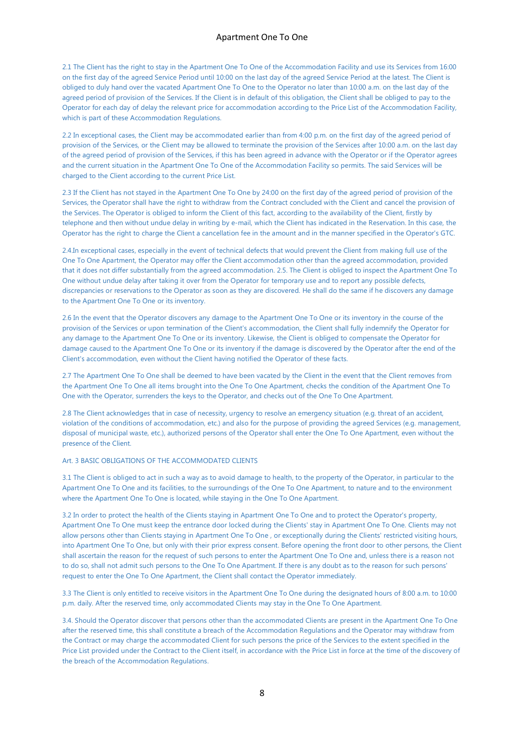2.1 The Client has the right to stay in the Apartment One To One of the Accommodation Facility and use its Services from 16:00 on the first day of the agreed Service Period until 10:00 on the last day of the agreed Service Period at the latest. The Client is obliged to duly hand over the vacated Apartment One To One to the Operator no later than 10:00 a.m. on the last day of the agreed period of provision of the Services. If the Client is in default of this obligation, the Client shall be obliged to pay to the Operator for each day of delay the relevant price for accommodation according to the Price List of the Accommodation Facility, which is part of these Accommodation Regulations.

2.2 In exceptional cases, the Client may be accommodated earlier than from 4:00 p.m. on the first day of the agreed period of provision of the Services, or the Client may be allowed to terminate the provision of the Services after 10:00 a.m. on the last day of the agreed period of provision of the Services, if this has been agreed in advance with the Operator or if the Operator agrees and the current situation in the Apartment One To One of the Accommodation Facility so permits. The said Services will be charged to the Client according to the current Price List.

2.3 If the Client has not stayed in the Apartment One To One by 24:00 on the first day of the agreed period of provision of the Services, the Operator shall have the right to withdraw from the Contract concluded with the Client and cancel the provision of the Services. The Operator is obliged to inform the Client of this fact, according to the availability of the Client, firstly by telephone and then without undue delay in writing by e-mail, which the Client has indicated in the Reservation. In this case, the Operator has the right to charge the Client a cancellation fee in the amount and in the manner specified in the Operator's GTC.

2.4.In exceptional cases, especially in the event of technical defects that would prevent the Client from making full use of the One To One Apartment, the Operator may offer the Client accommodation other than the agreed accommodation, provided that it does not differ substantially from the agreed accommodation. 2.5. The Client is obliged to inspect the Apartment One To One without undue delay after taking it over from the Operator for temporary use and to report any possible defects, discrepancies or reservations to the Operator as soon as they are discovered. He shall do the same if he discovers any damage to the Apartment One To One or its inventory.

2.6 In the event that the Operator discovers any damage to the Apartment One To One or its inventory in the course of the provision of the Services or upon termination of the Client's accommodation, the Client shall fully indemnify the Operator for any damage to the Apartment One To One or its inventory. Likewise, the Client is obliged to compensate the Operator for damage caused to the Apartment One To One or its inventory if the damage is discovered by the Operator after the end of the Client's accommodation, even without the Client having notified the Operator of these facts.

2.7 The Apartment One To One shall be deemed to have been vacated by the Client in the event that the Client removes from the Apartment One To One all items brought into the One To One Apartment, checks the condition of the Apartment One To One with the Operator, surrenders the keys to the Operator, and checks out of the One To One Apartment.

2.8 The Client acknowledges that in case of necessity, urgency to resolve an emergency situation (e.g. threat of an accident, violation of the conditions of accommodation, etc.) and also for the purpose of providing the agreed Services (e.g. management, disposal of municipal waste, etc.), authorized persons of the Operator shall enter the One To One Apartment, even without the presence of the Client.

## Art. 3 BASIC OBLIGATIONS OF THE ACCOMMODATED CLIENTS

3.1 The Client is obliged to act in such a way as to avoid damage to health, to the property of the Operator, in particular to the Apartment One To One and its facilities, to the surroundings of the One To One Apartment, to nature and to the environment where the Apartment One To One is located, while staying in the One To One Apartment.

3.2 In order to protect the health of the Clients staying in Apartment One To One and to protect the Operator's property, Apartment One To One must keep the entrance door locked during the Clients' stay in Apartment One To One. Clients may not allow persons other than Clients staying in Apartment One To One , or exceptionally during the Clients' restricted visiting hours, into Apartment One To One, but only with their prior express consent. Before opening the front door to other persons, the Client shall ascertain the reason for the request of such persons to enter the Apartment One To One and, unless there is a reason not to do so, shall not admit such persons to the One To One Apartment. If there is any doubt as to the reason for such persons' request to enter the One To One Apartment, the Client shall contact the Operator immediately.

3.3 The Client is only entitled to receive visitors in the Apartment One To One during the designated hours of 8:00 a.m. to 10:00 p.m. daily. After the reserved time, only accommodated Clients may stay in the One To One Apartment.

3.4. Should the Operator discover that persons other than the accommodated Clients are present in the Apartment One To One after the reserved time, this shall constitute a breach of the Accommodation Regulations and the Operator may withdraw from the Contract or may charge the accommodated Client for such persons the price of the Services to the extent specified in the Price List provided under the Contract to the Client itself, in accordance with the Price List in force at the time of the discovery of the breach of the Accommodation Regulations.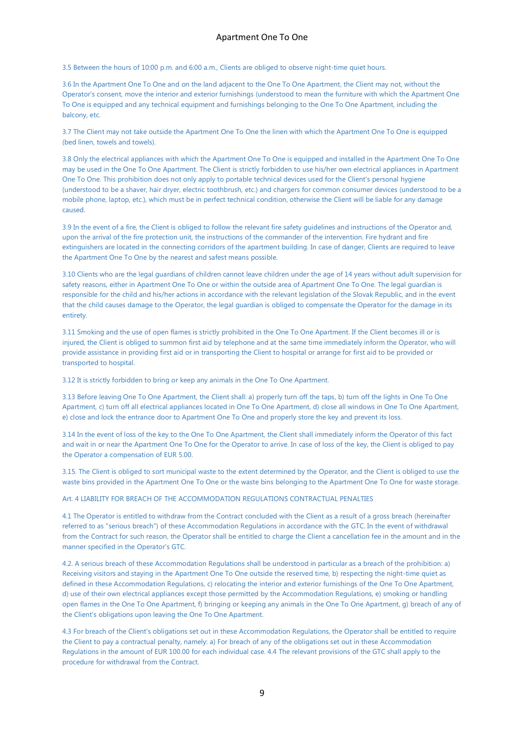3.5 Between the hours of 10:00 p.m. and 6:00 a.m., Clients are obliged to observe night-time quiet hours.

3.6 In the Apartment One To One and on the land adjacent to the One To One Apartment, the Client may not, without the Operator's consent, move the interior and exterior furnishings (understood to mean the furniture with which the Apartment One To One is equipped and any technical equipment and furnishings belonging to the One To One Apartment, including the balcony, etc.

3.7 The Client may not take outside the Apartment One To One the linen with which the Apartment One To One is equipped (bed linen, towels and towels).

3.8 Only the electrical appliances with which the Apartment One To One is equipped and installed in the Apartment One To One may be used in the One To One Apartment. The Client is strictly forbidden to use his/her own electrical appliances in Apartment One To One. This prohibition does not only apply to portable technical devices used for the Client's personal hygiene (understood to be a shaver, hair dryer, electric toothbrush, etc.) and chargers for common consumer devices (understood to be a mobile phone, laptop, etc.), which must be in perfect technical condition, otherwise the Client will be liable for any damage caused.

3.9 In the event of a fire, the Client is obliged to follow the relevant fire safety guidelines and instructions of the Operator and, upon the arrival of the fire protection unit, the instructions of the commander of the intervention. Fire hydrant and fire extinguishers are located in the connecting corridors of the apartment building. In case of danger, Clients are required to leave the Apartment One To One by the nearest and safest means possible.

3.10 Clients who are the legal guardians of children cannot leave children under the age of 14 years without adult supervision for safety reasons, either in Apartment One To One or within the outside area of Apartment One To One. The legal guardian is responsible for the child and his/her actions in accordance with the relevant legislation of the Slovak Republic, and in the event that the child causes damage to the Operator, the legal guardian is obliged to compensate the Operator for the damage in its entirety.

3.11 Smoking and the use of open flames is strictly prohibited in the One To One Apartment. If the Client becomes ill or is injured, the Client is obliged to summon first aid by telephone and at the same time immediately inform the Operator, who will provide assistance in providing first aid or in transporting the Client to hospital or arrange for first aid to be provided or transported to hospital.

3.12 It is strictly forbidden to bring or keep any animals in the One To One Apartment.

3.13 Before leaving One To One Apartment, the Client shall: a) properly turn off the taps, b) turn off the lights in One To One Apartment, c) turn off all electrical appliances located in One To One Apartment, d) close all windows in One To One Apartment, e) close and lock the entrance door to Apartment One To One and properly store the key and prevent its loss.

3.14 In the event of loss of the key to the One To One Apartment, the Client shall immediately inform the Operator of this fact and wait in or near the Apartment One To One for the Operator to arrive. In case of loss of the key, the Client is obliged to pay the Operator a compensation of EUR 5.00.

3.15. The Client is obliged to sort municipal waste to the extent determined by the Operator, and the Client is obliged to use the waste bins provided in the Apartment One To One or the waste bins belonging to the Apartment One To One for waste storage.

Art. 4 LIABILITY FOR BREACH OF THE ACCOMMODATION REGULATIONS CONTRACTUAL PENALTIES

4.1 The Operator is entitled to withdraw from the Contract concluded with the Client as a result of a gross breach (hereinafter referred to as "serious breach") of these Accommodation Regulations in accordance with the GTC. In the event of withdrawal from the Contract for such reason, the Operator shall be entitled to charge the Client a cancellation fee in the amount and in the manner specified in the Operator's GTC.

4.2. A serious breach of these Accommodation Regulations shall be understood in particular as a breach of the prohibition: a) Receiving visitors and staying in the Apartment One To One outside the reserved time, b) respecting the night-time quiet as defined in these Accommodation Regulations, c) relocating the interior and exterior furnishings of the One To One Apartment, d) use of their own electrical appliances except those permitted by the Accommodation Regulations, e) smoking or handling open flames in the One To One Apartment, f) bringing or keeping any animals in the One To One Apartment, g) breach of any of the Client's obligations upon leaving the One To One Apartment.

4.3 For breach of the Client's obligations set out in these Accommodation Regulations, the Operator shall be entitled to require the Client to pay a contractual penalty, namely: a) For breach of any of the obligations set out in these Accommodation Regulations in the amount of EUR 100.00 for each individual case. 4.4 The relevant provisions of the GTC shall apply to the procedure for withdrawal from the Contract.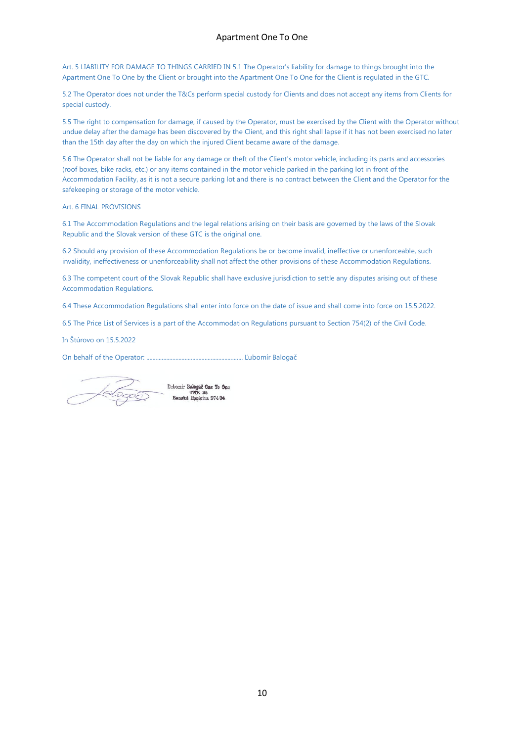Art. 5 LIABILITY FOR DAMAGE TO THINGS CARRIED IN 5.1 The Operator's liability for damage to things brought into the Apartment One To One by the Client or brought into the Apartment One To One for the Client is regulated in the GTC.

5.2 The Operator does not under the T&Cs perform special custody for Clients and does not accept any items from Clients for special custody.

5.5 The right to compensation for damage, if caused by the Operator, must be exercised by the Client with the Operator without undue delay after the damage has been discovered by the Client, and this right shall lapse if it has not been exercised no later than the 15th day after the day on which the injured Client became aware of the damage.

5.6 The Operator shall not be liable for any damage or theft of the Client's motor vehicle, including its parts and accessories (roof boxes, bike racks, etc.) or any items contained in the motor vehicle parked in the parking lot in front of the Accommodation Facility, as it is not a secure parking lot and there is no contract between the Client and the Operator for the safekeeping or storage of the motor vehicle.

Art. 6 FINAL PROVISIONS

6.1 The Accommodation Regulations and the legal relations arising on their basis are governed by the laws of the Slovak Republic and the Slovak version of these GTC is the original one.

6.2 Should any provision of these Accommodation Regulations be or become invalid, ineffective or unenforceable, such invalidity, ineffectiveness or unenforceability shall not affect the other provisions of these Accommodation Regulations.

6.3 The competent court of the Slovak Republic shall have exclusive jurisdiction to settle any disputes arising out of these Accommodation Regulations.

6.4 These Accommodation Regulations shall enter into force on the date of issue and shall come into force on 15.5.2022.

6.5 The Price List of Services is a part of the Accommodation Regulations pursuant to Section 754(2) of the Civil Code.

In Štúrovo on 15.5.2022

On behalf of the Operator: ............................................................... Ľubomír Balogač

Eubomír Balogač Cae To One<br>THK 35<br>Banská Esperius 37404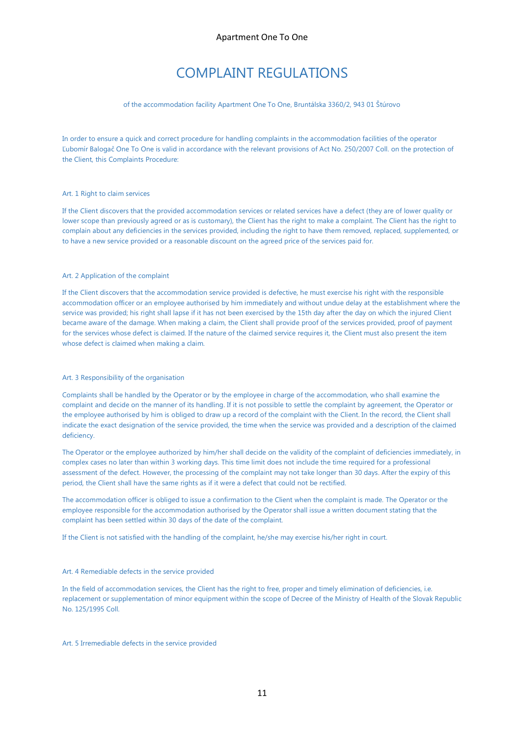# COMPLAINT REGULATIONS

#### of the accommodation facility Apartment One To One, Bruntálska 3360/2, 943 01 Štúrovo

In order to ensure a quick and correct procedure for handling complaints in the accommodation facilities of the operator Ľubomír Balogač One To One is valid in accordance with the relevant provisions of Act No. 250/2007 Coll. on the protection of the Client, this Complaints Procedure:

#### Art. 1 Right to claim services

If the Client discovers that the provided accommodation services or related services have a defect (they are of lower quality or lower scope than previously agreed or as is customary), the Client has the right to make a complaint. The Client has the right to complain about any deficiencies in the services provided, including the right to have them removed, replaced, supplemented, or to have a new service provided or a reasonable discount on the agreed price of the services paid for.

#### Art. 2 Application of the complaint

If the Client discovers that the accommodation service provided is defective, he must exercise his right with the responsible accommodation officer or an employee authorised by him immediately and without undue delay at the establishment where the service was provided; his right shall lapse if it has not been exercised by the 15th day after the day on which the injured Client became aware of the damage. When making a claim, the Client shall provide proof of the services provided, proof of payment for the services whose defect is claimed. If the nature of the claimed service requires it, the Client must also present the item whose defect is claimed when making a claim.

#### Art. 3 Responsibility of the organisation

Complaints shall be handled by the Operator or by the employee in charge of the accommodation, who shall examine the complaint and decide on the manner of its handling. If it is not possible to settle the complaint by agreement, the Operator or the employee authorised by him is obliged to draw up a record of the complaint with the Client. In the record, the Client shall indicate the exact designation of the service provided, the time when the service was provided and a description of the claimed deficiency.

The Operator or the employee authorized by him/her shall decide on the validity of the complaint of deficiencies immediately, in complex cases no later than within 3 working days. This time limit does not include the time required for a professional assessment of the defect. However, the processing of the complaint may not take longer than 30 days. After the expiry of this period, the Client shall have the same rights as if it were a defect that could not be rectified.

The accommodation officer is obliged to issue a confirmation to the Client when the complaint is made. The Operator or the employee responsible for the accommodation authorised by the Operator shall issue a written document stating that the complaint has been settled within 30 days of the date of the complaint.

If the Client is not satisfied with the handling of the complaint, he/she may exercise his/her right in court.

#### Art. 4 Remediable defects in the service provided

In the field of accommodation services, the Client has the right to free, proper and timely elimination of deficiencies, i.e. replacement or supplementation of minor equipment within the scope of Decree of the Ministry of Health of the Slovak Republic No. 125/1995 Coll.

## Art. 5 Irremediable defects in the service provided